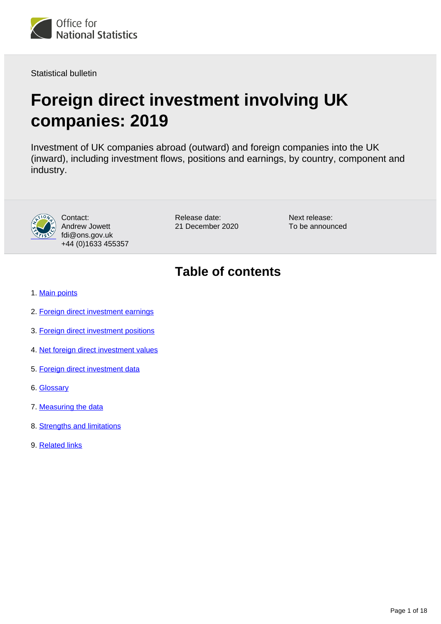

Statistical bulletin

# **Foreign direct investment involving UK companies: 2019**

Investment of UK companies abroad (outward) and foreign companies into the UK (inward), including investment flows, positions and earnings, by country, component and industry.



Contact: Andrew Jowett fdi@ons.gov.uk +44 (0)1633 455357 Release date: 21 December 2020 Next release: To be announced

# **Table of contents**

- 1. [Main points](#page-1-0)
- 2. [Foreign direct investment earnings](#page-1-1)
- 3. [Foreign direct investment positions](#page-6-0)
- 4. [Net foreign direct investment values](#page-8-0)
- 5. [Foreign direct investment data](#page-11-0)
- 6. [Glossary](#page-11-1)
- 7. [Measuring the data](#page-12-0)
- 8. [Strengths and limitations](#page-15-0)
- 9. [Related links](#page-17-0)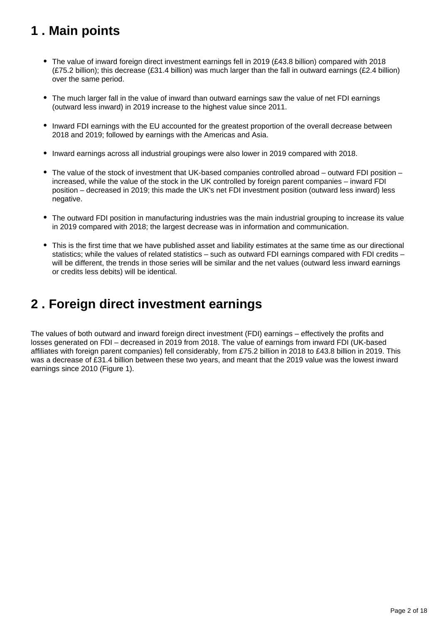# <span id="page-1-0"></span>**1 . Main points**

- The value of inward foreign direct investment earnings fell in 2019 (£43.8 billion) compared with 2018 (£75.2 billion); this decrease (£31.4 billion) was much larger than the fall in outward earnings (£2.4 billion) over the same period.
- The much larger fall in the value of inward than outward earnings saw the value of net FDI earnings (outward less inward) in 2019 increase to the highest value since 2011.
- Inward FDI earnings with the EU accounted for the greatest proportion of the overall decrease between 2018 and 2019; followed by earnings with the Americas and Asia.
- Inward earnings across all industrial groupings were also lower in 2019 compared with 2018.
- The value of the stock of investment that UK-based companies controlled abroad outward FDI position increased, while the value of the stock in the UK controlled by foreign parent companies – inward FDI position – decreased in 2019; this made the UK's net FDI investment position (outward less inward) less negative.
- The outward FDI position in manufacturing industries was the main industrial grouping to increase its value in 2019 compared with 2018; the largest decrease was in information and communication.
- This is the first time that we have published asset and liability estimates at the same time as our directional statistics; while the values of related statistics – such as outward FDI earnings compared with FDI credits – will be different, the trends in those series will be similar and the net values (outward less inward earnings or credits less debits) will be identical.

## <span id="page-1-1"></span>**2 . Foreign direct investment earnings**

The values of both outward and inward foreign direct investment (FDI) earnings – effectively the profits and losses generated on FDI – decreased in 2019 from 2018. The value of earnings from inward FDI (UK-based affiliates with foreign parent companies) fell considerably, from £75.2 billion in 2018 to £43.8 billion in 2019. This was a decrease of £31.4 billion between these two years, and meant that the 2019 value was the lowest inward earnings since 2010 (Figure 1).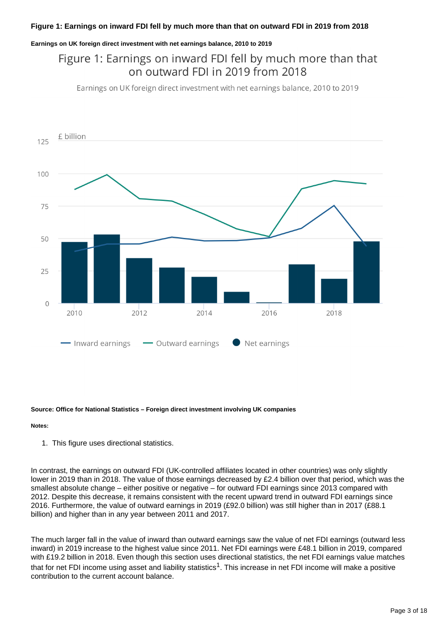#### **Earnings on UK foreign direct investment with net earnings balance, 2010 to 2019**

## Figure 1: Earnings on inward FDI fell by much more than that on outward FDI in 2019 from 2018

Earnings on UK foreign direct investment with net earnings balance, 2010 to 2019



#### **Source: Office for National Statistics – Foreign direct investment involving UK companies**

## **Notes:**

1. This figure uses directional statistics.

In contrast, the earnings on outward FDI (UK-controlled affiliates located in other countries) was only slightly lower in 2019 than in 2018. The value of those earnings decreased by £2.4 billion over that period, which was the smallest absolute change – either positive or negative – for outward FDI earnings since 2013 compared with 2012. Despite this decrease, it remains consistent with the recent upward trend in outward FDI earnings since 2016. Furthermore, the value of outward earnings in 2019 (£92.0 billion) was still higher than in 2017 (£88.1 billion) and higher than in any year between 2011 and 2017.

The much larger fall in the value of inward than outward earnings saw the value of net FDI earnings (outward less inward) in 2019 increase to the highest value since 2011. Net FDI earnings were £48.1 billion in 2019, compared with £19.2 billion in 2018. Even though this section uses directional statistics, the net FDI earnings value matches that for net FDI income using asset and liability statistics<sup>1</sup>. This increase in net FDI income will make a positive contribution to the current account balance.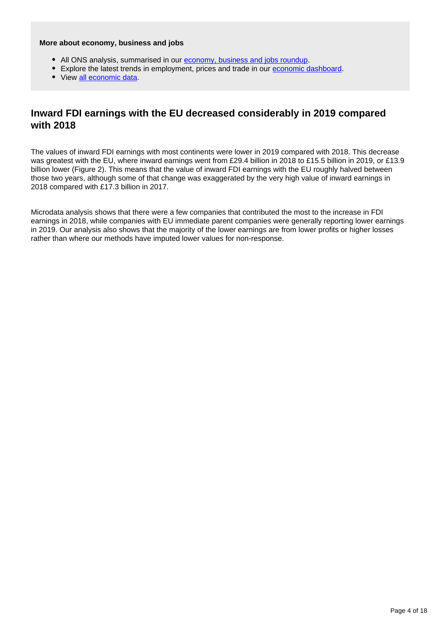### **More about economy, business and jobs**

- All ONS analysis, summarised in our [economy, business and jobs roundup.](https://www.ons.gov.uk/economy/economicoutputandproductivity/output/articles/ukeconomylatest/2021-01-25)
- Explore the latest trends in employment, prices and trade in our [economic dashboard.](https://www.ons.gov.uk/economy/nationalaccounts/articles/dashboardunderstandingtheukeconomy/2017-02-22)
- View [all economic data](https://www.ons.gov.uk/economy/datalist?filter=datasets).

## **Inward FDI earnings with the EU decreased considerably in 2019 compared with 2018**

The values of inward FDI earnings with most continents were lower in 2019 compared with 2018. This decrease was greatest with the EU, where inward earnings went from £29.4 billion in 2018 to £15.5 billion in 2019, or £13.9 billion lower (Figure 2). This means that the value of inward FDI earnings with the EU roughly halved between those two years, although some of that change was exaggerated by the very high value of inward earnings in 2018 compared with £17.3 billion in 2017.

Microdata analysis shows that there were a few companies that contributed the most to the increase in FDI earnings in 2018, while companies with EU immediate parent companies were generally reporting lower earnings in 2019. Our analysis also shows that the majority of the lower earnings are from lower profits or higher losses rather than where our methods have imputed lower values for non-response.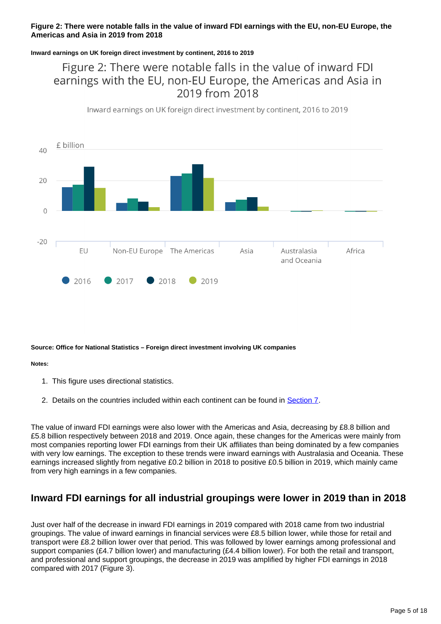### **Figure 2: There were notable falls in the value of inward FDI earnings with the EU, non-EU Europe, the Americas and Asia in 2019 from 2018**

#### **Inward earnings on UK foreign direct investment by continent, 2016 to 2019**

## Figure 2: There were notable falls in the value of inward FDI earnings with the EU, non-EU Europe, the Americas and Asia in 2019 from 2018

Inward earnings on UK foreign direct investment by continent, 2016 to 2019



#### **Source: Office for National Statistics – Foreign direct investment involving UK companies**

#### **Notes:**

- 1. This figure uses directional statistics.
- 2. Details on the countries included within each continent can be found in [Section 7](https://www.ons.gov.uk/economy/nationalaccounts/balanceofpayments/bulletins/foreigndirectinvestmentinvolvingukcompanies/2019#measuring-the-data).

The value of inward FDI earnings were also lower with the Americas and Asia, decreasing by £8.8 billion and £5.8 billion respectively between 2018 and 2019. Once again, these changes for the Americas were mainly from most companies reporting lower FDI earnings from their UK affiliates than being dominated by a few companies with very low earnings. The exception to these trends were inward earnings with Australasia and Oceania. These earnings increased slightly from negative £0.2 billion in 2018 to positive £0.5 billion in 2019, which mainly came from very high earnings in a few companies.

## **Inward FDI earnings for all industrial groupings were lower in 2019 than in 2018**

Just over half of the decrease in inward FDI earnings in 2019 compared with 2018 came from two industrial groupings. The value of inward earnings in financial services were £8.5 billion lower, while those for retail and transport were £8.2 billion lower over that period. This was followed by lower earnings among professional and support companies (£4.7 billion lower) and manufacturing (£4.4 billion lower). For both the retail and transport, and professional and support groupings, the decrease in 2019 was amplified by higher FDI earnings in 2018 compared with 2017 (Figure 3).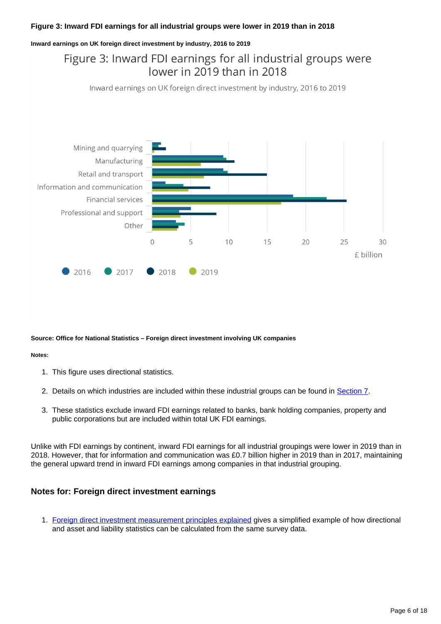## **Figure 3: Inward FDI earnings for all industrial groups were lower in 2019 than in 2018**

#### **Inward earnings on UK foreign direct investment by industry, 2016 to 2019**

## Figure 3: Inward FDI earnings for all industrial groups were lower in 2019 than in 2018

Inward earnings on UK foreign direct investment by industry, 2016 to 2019



#### **Source: Office for National Statistics – Foreign direct investment involving UK companies**

#### **Notes:**

- 1. This figure uses directional statistics.
- 2. Details on which industries are included within these industrial groups can be found in [Section 7](https://www.ons.gov.uk/economy/nationalaccounts/balanceofpayments/bulletins/foreigndirectinvestmentinvolvingukcompanies/2019#measuring-the-data).
- 3. These statistics exclude inward FDI earnings related to banks, bank holding companies, property and public corporations but are included within total UK FDI earnings.

Unlike with FDI earnings by continent, inward FDI earnings for all industrial groupings were lower in 2019 than in 2018. However, that for information and communication was £0.7 billion higher in 2019 than in 2017, maintaining the general upward trend in inward FDI earnings among companies in that industrial grouping.

## **Notes for: Foreign direct investment earnings**

1. [Foreign direct investment measurement principles explained](https://www.slideshare.net/statisticsONS/foreign-direct-investment-measurement-principles-explained) gives a simplified example of how directional and asset and liability statistics can be calculated from the same survey data.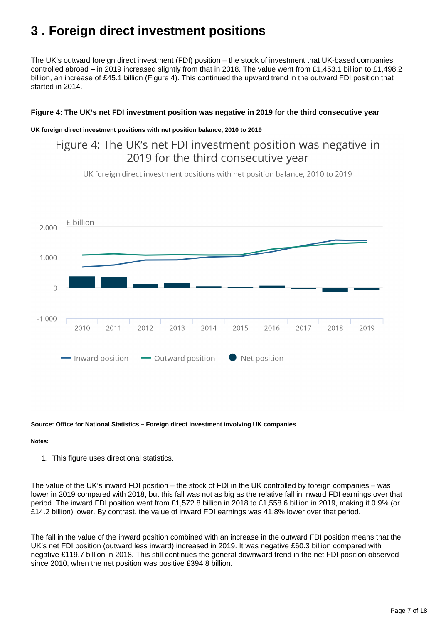# <span id="page-6-0"></span>**3 . Foreign direct investment positions**

The UK's outward foreign direct investment (FDI) position – the stock of investment that UK-based companies controlled abroad – in 2019 increased slightly from that in 2018. The value went from £1,453.1 billion to £1,498.2 billion, an increase of £45.1 billion (Figure 4). This continued the upward trend in the outward FDI position that started in 2014.

### **Figure 4: The UK's net FDI investment position was negative in 2019 for the third consecutive year**

### **UK foreign direct investment positions with net position balance, 2010 to 2019**

## Figure 4: The UK's net FDI investment position was negative in 2019 for the third consecutive year

UK foreign direct investment positions with net position balance, 2010 to 2019



#### **Source: Office for National Statistics – Foreign direct investment involving UK companies**

#### **Notes:**

1. This figure uses directional statistics.

The value of the UK's inward FDI position – the stock of FDI in the UK controlled by foreign companies – was lower in 2019 compared with 2018, but this fall was not as big as the relative fall in inward FDI earnings over that period. The inward FDI position went from £1,572.8 billion in 2018 to £1,558.6 billion in 2019, making it 0.9% (or £14.2 billion) lower. By contrast, the value of inward FDI earnings was 41.8% lower over that period.

The fall in the value of the inward position combined with an increase in the outward FDI position means that the UK's net FDI position (outward less inward) increased in 2019. It was negative £60.3 billion compared with negative £119.7 billion in 2018. This still continues the general downward trend in the net FDI position observed since 2010, when the net position was positive £394.8 billion.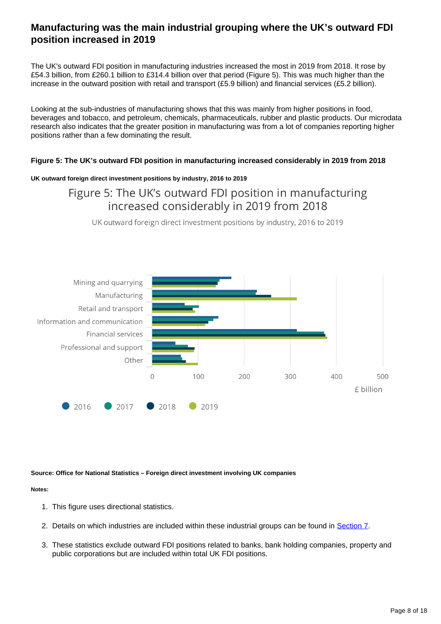## **Manufacturing was the main industrial grouping where the UK's outward FDI position increased in 2019**

The UK's outward FDI position in manufacturing industries increased the most in 2019 from 2018. It rose by £54.3 billion, from £260.1 billion to £314.4 billion over that period (Figure 5). This was much higher than the increase in the outward position with retail and transport  $(E5.9$  billion) and financial services  $(E5.2$  billion).

Looking at the sub-industries of manufacturing shows that this was mainly from higher positions in food, beverages and tobacco, and petroleum, chemicals, pharmaceuticals, rubber and plastic products. Our microdata research also indicates that the greater position in manufacturing was from a lot of companies reporting higher positions rather than a few dominating the result.

### **Figure 5: The UK's outward FDI position in manufacturing increased considerably in 2019 from 2018**

#### **UK outward foreign direct investment positions by industry, 2016 to 2019**

## Figure 5: The UK's outward FDI position in manufacturing increased considerably in 2019 from 2018

UK outward foreign direct investment positions by industry, 2016 to 2019



#### **Source: Office for National Statistics – Foreign direct investment involving UK companies**

#### **Notes:**

- 1. This figure uses directional statistics.
- 2. Details on which industries are included within these industrial groups can be found in [Section 7](https://www.ons.gov.uk/economy/nationalaccounts/balanceofpayments/bulletins/foreigndirectinvestmentinvolvingukcompanies/2019#measuring-the-data).
- 3. These statistics exclude outward FDI positions related to banks, bank holding companies, property and public corporations but are included within total UK FDI positions.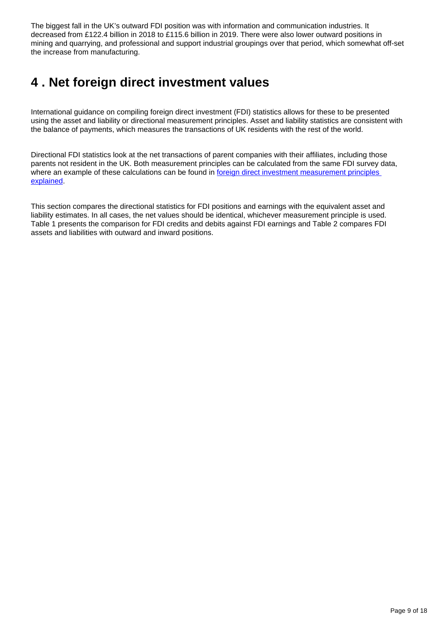The biggest fall in the UK's outward FDI position was with information and communication industries. It decreased from £122.4 billion in 2018 to £115.6 billion in 2019. There were also lower outward positions in mining and quarrying, and professional and support industrial groupings over that period, which somewhat off-set the increase from manufacturing.

# <span id="page-8-0"></span>**4 . Net foreign direct investment values**

International guidance on compiling foreign direct investment (FDI) statistics allows for these to be presented using the asset and liability or directional measurement principles. Asset and liability statistics are consistent with the balance of payments, which measures the transactions of UK residents with the rest of the world.

Directional FDI statistics look at the net transactions of parent companies with their affiliates, including those parents not resident in the UK. Both measurement principles can be calculated from the same FDI survey data, where an example of these calculations can be found in foreign direct investment measurement principles **explained** 

This section compares the directional statistics for FDI positions and earnings with the equivalent asset and liability estimates. In all cases, the net values should be identical, whichever measurement principle is used. Table 1 presents the comparison for FDI credits and debits against FDI earnings and Table 2 compares FDI assets and liabilities with outward and inward positions.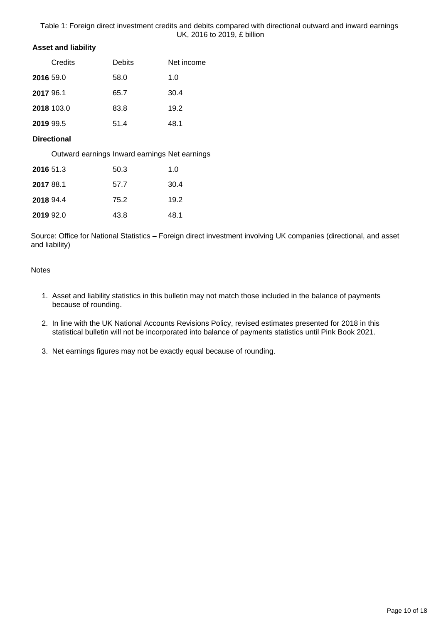Table 1: Foreign direct investment credits and debits compared with directional outward and inward earnings UK, 2016 to 2019, £ billion

### **Asset and liability**

| Credits    | Debits | Net income |
|------------|--------|------------|
| 2016 59.0  | 58.0   | 1.0        |
| 2017 96.1  | 65.7   | 30.4       |
| 2018 103.0 | 83.8   | 19.2       |
| 2019 99.5  | 51.4   | 48.1       |

### **Directional**

Outward earnings Inward earnings Net earnings

| 2016 51.3 | 50.3 | 1.0  |
|-----------|------|------|
| 2017 88.1 | 57.7 | 30.4 |
| 2018 94.4 | 75.2 | 19.2 |
| 2019 92.0 | 43.8 | 48.1 |

Source: Office for National Statistics – Foreign direct investment involving UK companies (directional, and asset and liability)

#### Notes

- 1. Asset and liability statistics in this bulletin may not match those included in the balance of payments because of rounding.
- 2. In line with the UK National Accounts Revisions Policy, revised estimates presented for 2018 in this statistical bulletin will not be incorporated into balance of payments statistics until Pink Book 2021.
- 3. Net earnings figures may not be exactly equal because of rounding.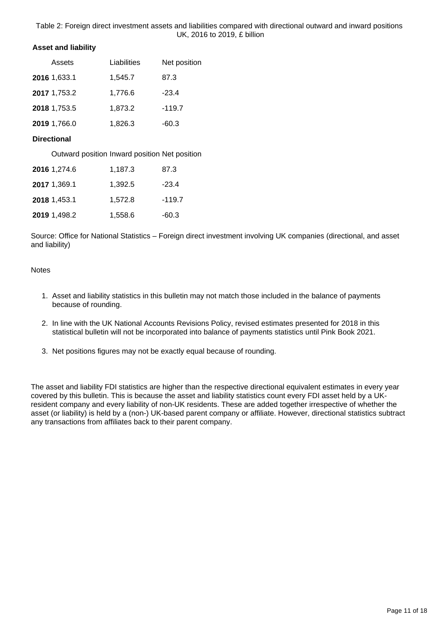Table 2: Foreign direct investment assets and liabilities compared with directional outward and inward positions UK, 2016 to 2019, £ billion

### **Asset and liability**

| Assets       | Liabilities | Net position |
|--------------|-------------|--------------|
| 2016 1,633.1 | 1,545.7     | 87.3         |
| 2017 1,753.2 | 1,776.6     | $-23.4$      |
| 2018 1,753.5 | 1,873.2     | $-119.7$     |
| 2019 1,766.0 | 1,826.3     | $-60.3$      |

### **Directional**

Outward position Inward position Net position

| 2016 1,274.6 | 1,187.3 | 87.3     |
|--------------|---------|----------|
| 2017 1,369.1 | 1.392.5 | $-23.4$  |
| 2018 1,453.1 | 1.572.8 | $-119.7$ |
| 2019 1,498.2 | 1,558.6 | -60.3    |

Source: Office for National Statistics – Foreign direct investment involving UK companies (directional, and asset and liability)

#### Notes

- 1. Asset and liability statistics in this bulletin may not match those included in the balance of payments because of rounding.
- 2. In line with the UK National Accounts Revisions Policy, revised estimates presented for 2018 in this statistical bulletin will not be incorporated into balance of payments statistics until Pink Book 2021.
- 3. Net positions figures may not be exactly equal because of rounding.

The asset and liability FDI statistics are higher than the respective directional equivalent estimates in every year covered by this bulletin. This is because the asset and liability statistics count every FDI asset held by a UKresident company and every liability of non-UK residents. These are added together irrespective of whether the asset (or liability) is held by a (non-) UK-based parent company or affiliate. However, directional statistics subtract any transactions from affiliates back to their parent company.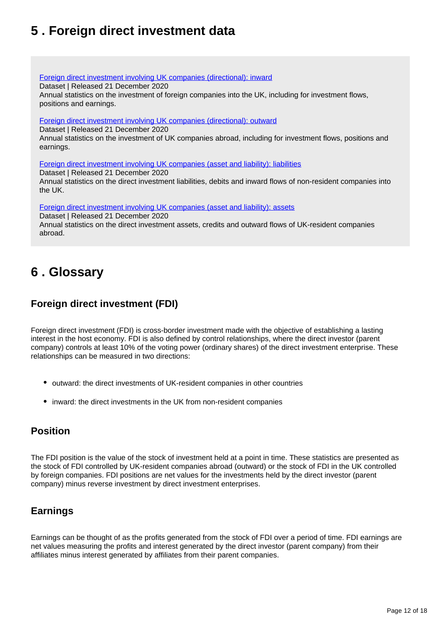# <span id="page-11-0"></span>**5 . Foreign direct investment data**

[Foreign direct investment involving UK companies \(directional\): inward](https://www.ons.gov.uk/businessindustryandtrade/business/businessinnovation/datasets/foreigndirectinvestmentinvolvingukcompanies2013inwardtables) Dataset | Released 21 December 2020 Annual statistics on the investment of foreign companies into the UK, including for investment flows, positions and earnings.

[Foreign direct investment involving UK companies \(directional\): outward](https://www.ons.gov.uk/businessindustryandtrade/business/businessinnovation/datasets/foreigndirectinvestmentinvolvingukcompaniesoutwardtables)

Dataset | Released 21 December 2020

Annual statistics on the investment of UK companies abroad, including for investment flows, positions and earnings.

[Foreign direct investment involving UK companies \(asset and liability\): liabilities](https://www.ons.gov.uk/economy/nationalaccounts/balanceofpayments/datasets/foreigndirectinvestmentinvolvingukcompaniesassetandliabilityinward)

Dataset | Released 21 December 2020

Annual statistics on the direct investment liabilities, debits and inward flows of non-resident companies into the UK.

[Foreign direct investment involving UK companies \(asset and liability\): assets](https://www.ons.gov.uk/economy/nationalaccounts/balanceofpayments/datasets/foreigndirectinvestmentinvolvingukcompaniesassetandliabilityoutward)

Dataset | Released 21 December 2020

Annual statistics on the direct investment assets, credits and outward flows of UK-resident companies abroad.

# <span id="page-11-1"></span>**6 . Glossary**

## **Foreign direct investment (FDI)**

Foreign direct investment (FDI) is cross-border investment made with the objective of establishing a lasting interest in the host economy. FDI is also defined by control relationships, where the direct investor (parent company) controls at least 10% of the voting power (ordinary shares) of the direct investment enterprise. These relationships can be measured in two directions:

- outward: the direct investments of UK-resident companies in other countries
- inward: the direct investments in the UK from non-resident companies

## **Position**

The FDI position is the value of the stock of investment held at a point in time. These statistics are presented as the stock of FDI controlled by UK-resident companies abroad (outward) or the stock of FDI in the UK controlled by foreign companies. FDI positions are net values for the investments held by the direct investor (parent company) minus reverse investment by direct investment enterprises.

## **Earnings**

Earnings can be thought of as the profits generated from the stock of FDI over a period of time. FDI earnings are net values measuring the profits and interest generated by the direct investor (parent company) from their affiliates minus interest generated by affiliates from their parent companies.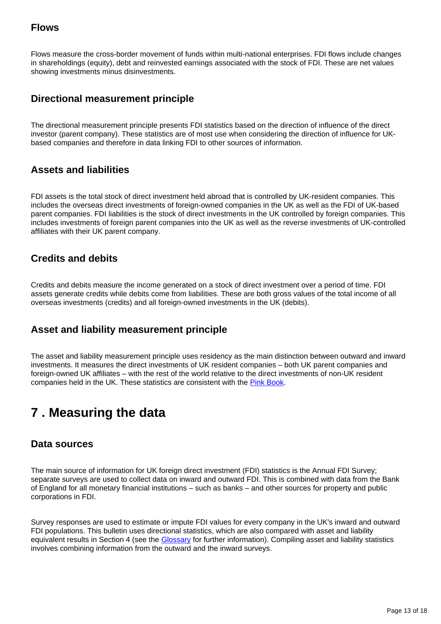## **Flows**

Flows measure the cross-border movement of funds within multi-national enterprises. FDI flows include changes in shareholdings (equity), debt and reinvested earnings associated with the stock of FDI. These are net values showing investments minus disinvestments.

## **Directional measurement principle**

The directional measurement principle presents FDI statistics based on the direction of influence of the direct investor (parent company). These statistics are of most use when considering the direction of influence for UKbased companies and therefore in data linking FDI to other sources of information.

## **Assets and liabilities**

FDI assets is the total stock of direct investment held abroad that is controlled by UK-resident companies. This includes the overseas direct investments of foreign-owned companies in the UK as well as the FDI of UK-based parent companies. FDI liabilities is the stock of direct investments in the UK controlled by foreign companies. This includes investments of foreign parent companies into the UK as well as the reverse investments of UK-controlled affiliates with their UK parent company.

## **Credits and debits**

Credits and debits measure the income generated on a stock of direct investment over a period of time. FDI assets generate credits while debits come from liabilities. These are both gross values of the total income of all overseas investments (credits) and all foreign-owned investments in the UK (debits).

## **Asset and liability measurement principle**

The asset and liability measurement principle uses residency as the main distinction between outward and inward investments. It measures the direct investments of UK resident companies – both UK parent companies and foreign-owned UK affiliates – with the rest of the world relative to the direct investments of non-UK resident companies held in the UK. These statistics are consistent with the [Pink Book](https://www.ons.gov.uk/economy/nationalaccounts/balanceofpayments/bulletins/unitedkingdombalanceofpaymentsthepinkbook/2020).

# <span id="page-12-0"></span>**7 . Measuring the data**

## **Data sources**

The main source of information for UK foreign direct investment (FDI) statistics is the Annual FDI Survey; separate surveys are used to collect data on inward and outward FDI. This is combined with data from the Bank of England for all monetary financial institutions – such as banks – and other sources for property and public corporations in FDI.

Survey responses are used to estimate or impute FDI values for every company in the UK's inward and outward FDI populations. This bulletin uses directional statistics, which are also compared with asset and liability equivalent results in Section 4 (see the [Glossary](https://www.ons.gov.uk/economy/nationalaccounts/balanceofpayments/bulletins/foreigndirectinvestmentinvolvingukcompanies/2019#glossary) for further information). Compiling asset and liability statistics involves combining information from the outward and the inward surveys.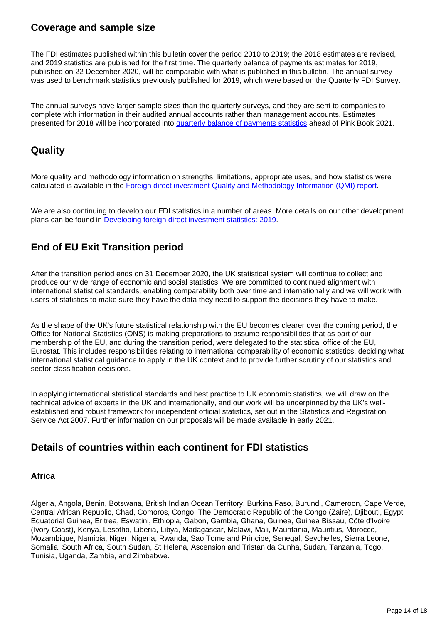## **Coverage and sample size**

The FDI estimates published within this bulletin cover the period 2010 to 2019; the 2018 estimates are revised, and 2019 statistics are published for the first time. The quarterly balance of payments estimates for 2019, published on 22 December 2020, will be comparable with what is published in this bulletin. The annual survey was used to benchmark statistics previously published for 2019, which were based on the Quarterly FDI Survey.

The annual surveys have larger sample sizes than the quarterly surveys, and they are sent to companies to complete with information in their audited annual accounts rather than management accounts. Estimates presented for 2018 will be incorporated into [quarterly balance of payments statistics](https://www.ons.gov.uk/economy/nationalaccounts/balanceofpayments/bulletins/balanceofpayments/apriltojune2020) ahead of Pink Book 2021.

## **Quality**

More quality and methodology information on strengths, limitations, appropriate uses, and how statistics were calculated is available in the [Foreign direct investment Quality and Methodology Information \(QMI\) report.](https://www.ons.gov.uk/businessindustryandtrade/business/businessinnovation/methodologies/foreigndirectinvestmentfdiqmi)

We are also continuing to develop our FDI statistics in a number of areas. More details on our other development plans can be found in [Developing foreign direct investment statistics: 2019.](https://www.ons.gov.uk/businessindustryandtrade/internationaltrade/articles/developingforeigndirectinvestmentstatistics/2019)

## **End of EU Exit Transition period**

After the transition period ends on 31 December 2020, the UK statistical system will continue to collect and produce our wide range of economic and social statistics. We are committed to continued alignment with international statistical standards, enabling comparability both over time and internationally and we will work with users of statistics to make sure they have the data they need to support the decisions they have to make.

As the shape of the UK's future statistical relationship with the EU becomes clearer over the coming period, the Office for National Statistics (ONS) is making preparations to assume responsibilities that as part of our membership of the EU, and during the transition period, were delegated to the statistical office of the EU, Eurostat. This includes responsibilities relating to international comparability of economic statistics, deciding what international statistical guidance to apply in the UK context and to provide further scrutiny of our statistics and sector classification decisions.

In applying international statistical standards and best practice to UK economic statistics, we will draw on the technical advice of experts in the UK and internationally, and our work will be underpinned by the UK's wellestablished and robust framework for independent official statistics, set out in the Statistics and Registration Service Act 2007. Further information on our proposals will be made available in early 2021.

## **Details of countries within each continent for FDI statistics**

## **Africa**

Algeria, Angola, Benin, Botswana, British Indian Ocean Territory, Burkina Faso, Burundi, Cameroon, Cape Verde, Central African Republic, Chad, Comoros, Congo, The Democratic Republic of the Congo (Zaire), Djibouti, Egypt, Equatorial Guinea, Eritrea, Eswatini, Ethiopia, Gabon, Gambia, Ghana, Guinea, Guinea Bissau, Côte d'Ivoire (Ivory Coast), Kenya, Lesotho, Liberia, Libya, Madagascar, Malawi, Mali, Mauritania, Mauritius, Morocco, Mozambique, Namibia, Niger, Nigeria, Rwanda, Sao Tome and Principe, Senegal, Seychelles, Sierra Leone, Somalia, South Africa, South Sudan, St Helena, Ascension and Tristan da Cunha, Sudan, Tanzania, Togo, Tunisia, Uganda, Zambia, and Zimbabwe.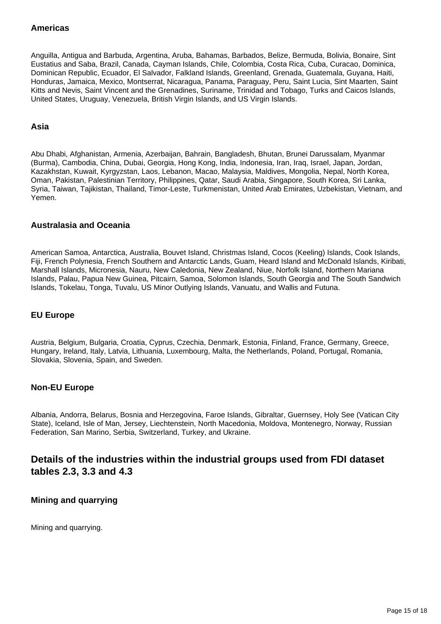## **Americas**

Anguilla, Antigua and Barbuda, Argentina, Aruba, Bahamas, Barbados, Belize, Bermuda, Bolivia, Bonaire, Sint Eustatius and Saba, Brazil, Canada, Cayman Islands, Chile, Colombia, Costa Rica, Cuba, Curacao, Dominica, Dominican Republic, Ecuador, El Salvador, Falkland Islands, Greenland, Grenada, Guatemala, Guyana, Haiti, Honduras, Jamaica, Mexico, Montserrat, Nicaragua, Panama, Paraguay, Peru, Saint Lucia, Sint Maarten, Saint Kitts and Nevis, Saint Vincent and the Grenadines, Suriname, Trinidad and Tobago, Turks and Caicos Islands, United States, Uruguay, Venezuela, British Virgin Islands, and US Virgin Islands.

## **Asia**

Abu Dhabi, Afghanistan, Armenia, Azerbaijan, Bahrain, Bangladesh, Bhutan, Brunei Darussalam, Myanmar (Burma), Cambodia, China, Dubai, Georgia, Hong Kong, India, Indonesia, Iran, Iraq, Israel, Japan, Jordan, Kazakhstan, Kuwait, Kyrgyzstan, Laos, Lebanon, Macao, Malaysia, Maldives, Mongolia, Nepal, North Korea, Oman, Pakistan, Palestinian Territory, Philippines, Qatar, Saudi Arabia, Singapore, South Korea, Sri Lanka, Syria, Taiwan, Tajikistan, Thailand, Timor-Leste, Turkmenistan, United Arab Emirates, Uzbekistan, Vietnam, and Yemen.

## **Australasia and Oceania**

American Samoa, Antarctica, Australia, Bouvet Island, Christmas Island, Cocos (Keeling) Islands, Cook Islands, Fiji, French Polynesia, French Southern and Antarctic Lands, Guam, Heard Island and McDonald Islands, Kiribati, Marshall Islands, Micronesia, Nauru, New Caledonia, New Zealand, Niue, Norfolk Island, Northern Mariana Islands, Palau, Papua New Guinea, Pitcairn, Samoa, Solomon Islands, South Georgia and The South Sandwich Islands, Tokelau, Tonga, Tuvalu, US Minor Outlying Islands, Vanuatu, and Wallis and Futuna.

## **EU Europe**

Austria, Belgium, Bulgaria, Croatia, Cyprus, Czechia, Denmark, Estonia, Finland, France, Germany, Greece, Hungary, Ireland, Italy, Latvia, Lithuania, Luxembourg, Malta, the Netherlands, Poland, Portugal, Romania, Slovakia, Slovenia, Spain, and Sweden.

## **Non-EU Europe**

Albania, Andorra, Belarus, Bosnia and Herzegovina, Faroe Islands, Gibraltar, Guernsey, Holy See (Vatican City State), Iceland, Isle of Man, Jersey, Liechtenstein, North Macedonia, Moldova, Montenegro, Norway, Russian Federation, San Marino, Serbia, Switzerland, Turkey, and Ukraine.

## **Details of the industries within the industrial groups used from FDI dataset tables 2.3, 3.3 and 4.3**

## **Mining and quarrying**

Mining and quarrying.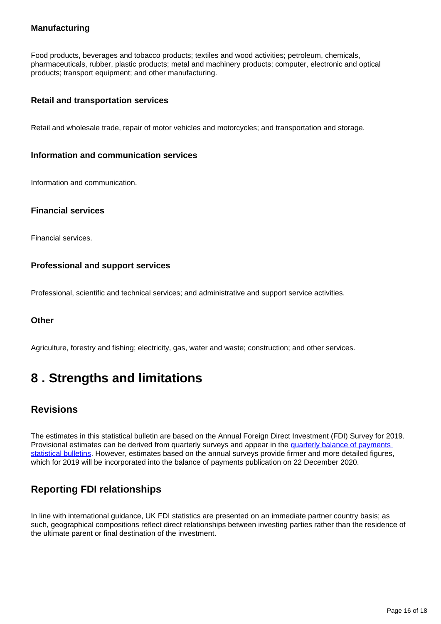## **Manufacturing**

Food products, beverages and tobacco products; textiles and wood activities; petroleum, chemicals, pharmaceuticals, rubber, plastic products; metal and machinery products; computer, electronic and optical products; transport equipment; and other manufacturing.

## **Retail and transportation services**

Retail and wholesale trade, repair of motor vehicles and motorcycles; and transportation and storage.

## **Information and communication services**

Information and communication.

## **Financial services**

Financial services.

## **Professional and support services**

Professional, scientific and technical services; and administrative and support service activities.

## **Other**

Agriculture, forestry and fishing; electricity, gas, water and waste; construction; and other services.

# <span id="page-15-0"></span>**8 . Strengths and limitations**

## **Revisions**

The estimates in this statistical bulletin are based on the Annual Foreign Direct Investment (FDI) Survey for 2019. Provisional estimates can be derived from quarterly surveys and appear in the [quarterly balance of payments](https://www.ons.gov.uk/economy/nationalaccounts/balanceofpayments/bulletins/balanceofpayments/previousReleases)  [statistical bulletins](https://www.ons.gov.uk/economy/nationalaccounts/balanceofpayments/bulletins/balanceofpayments/previousReleases). However, estimates based on the annual surveys provide firmer and more detailed figures, which for 2019 will be incorporated into the balance of payments publication on 22 December 2020.

## **Reporting FDI relationships**

In line with international guidance, UK FDI statistics are presented on an immediate partner country basis; as such, geographical compositions reflect direct relationships between investing parties rather than the residence of the ultimate parent or final destination of the investment.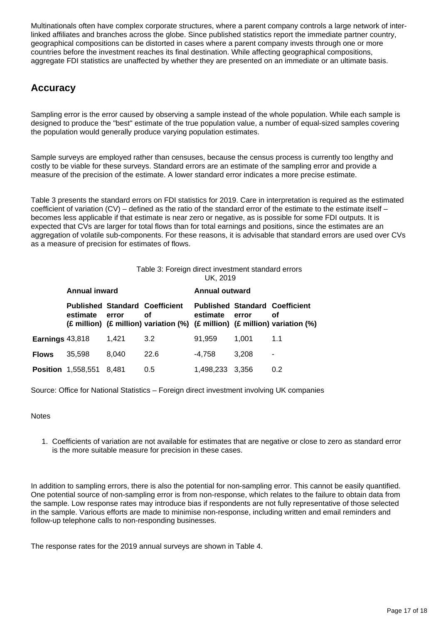Multinationals often have complex corporate structures, where a parent company controls a large network of interlinked affiliates and branches across the globe. Since published statistics report the immediate partner country, geographical compositions can be distorted in cases where a parent company invests through one or more countries before the investment reaches its final destination. While affecting geographical compositions, aggregate FDI statistics are unaffected by whether they are presented on an immediate or an ultimate basis.

## **Accuracy**

Sampling error is the error caused by observing a sample instead of the whole population. While each sample is designed to produce the "best" estimate of the true population value, a number of equal-sized samples covering the population would generally produce varying population estimates.

Sample surveys are employed rather than censuses, because the census process is currently too lengthy and costly to be viable for these surveys. Standard errors are an estimate of the sampling error and provide a measure of the precision of the estimate. A lower standard error indicates a more precise estimate.

Table 3 presents the standard errors on FDI statistics for 2019. Care in interpretation is required as the estimated coefficient of variation (CV) – defined as the ratio of the standard error of the estimate to the estimate itself – becomes less applicable if that estimate is near zero or negative, as is possible for some FDI outputs. It is expected that CVs are larger for total flows than for total earnings and positions, since the estimates are an aggregation of volatile sub-components. For these reasons, it is advisable that standard errors are used over CVs as a measure of precision for estimates of flows.

| Table 3: Foreign direct investment standard errors |  |  |  |
|----------------------------------------------------|--|--|--|
| UK. 2019                                           |  |  |  |

|                 | <b>Annual inward</b>            |       |                                                                                                                            | <b>Annual outward</b> |         |                                             |
|-----------------|---------------------------------|-------|----------------------------------------------------------------------------------------------------------------------------|-----------------------|---------|---------------------------------------------|
|                 | estimate                        | error | <b>Published Standard Coefficient</b><br>οf<br>(£ million) (£ million) variation (%) (£ million) (£ million) variation (%) | estimate              | error   | <b>Published Standard Coefficient</b><br>Οf |
| Earnings 43,818 |                                 | 1.421 | 3.2                                                                                                                        | 91.959                | 1.001   | 1.1                                         |
| <b>Flows</b>    | 35.598                          | 8.040 | 22.6                                                                                                                       | -4.758                | 3.208   | -                                           |
|                 | <b>Position</b> 1,558,551 8,481 |       | 0.5                                                                                                                        | 1.498.233             | - 3.356 | 0.2                                         |

Source: Office for National Statistics – Foreign direct investment involving UK companies

### **Notes**

1. Coefficients of variation are not available for estimates that are negative or close to zero as standard error is the more suitable measure for precision in these cases.

In addition to sampling errors, there is also the potential for non-sampling error. This cannot be easily quantified. One potential source of non-sampling error is from non-response, which relates to the failure to obtain data from the sample. Low response rates may introduce bias if respondents are not fully representative of those selected in the sample. Various efforts are made to minimise non-response, including written and email reminders and follow-up telephone calls to non-responding businesses.

The response rates for the 2019 annual surveys are shown in Table 4.